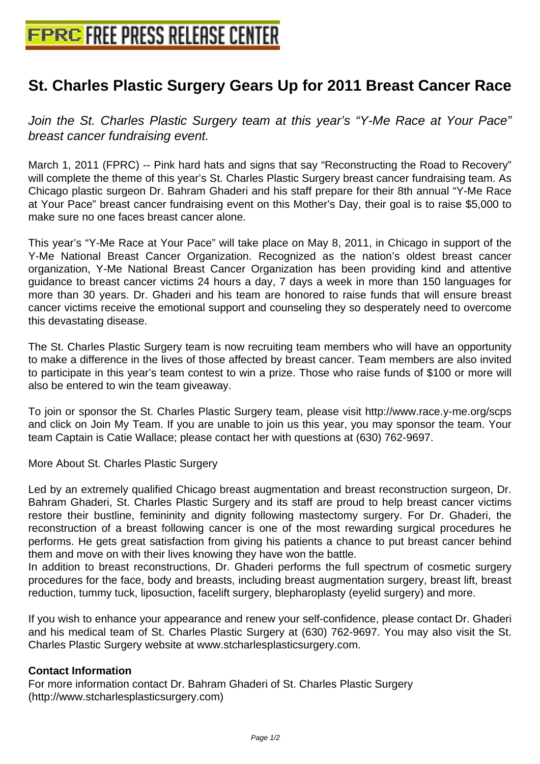## **[St. Charles Plastic Surgery Gears U](http://www.free-press-release-center.info)p for 2011 Breast Cancer Race**

Join the St. Charles Plastic Surgery team at this year's "Y-Me Race at Your Pace" breast cancer fundraising event.

March 1, 2011 (FPRC) -- Pink hard hats and signs that say "Reconstructing the Road to Recovery" will complete the theme of this year's St. Charles Plastic Surgery breast cancer fundraising team. As Chicago plastic surgeon Dr. Bahram Ghaderi and his staff prepare for their 8th annual "Y-Me Race at Your Pace" breast cancer fundraising event on this Mother's Day, their goal is to raise \$5,000 to make sure no one faces breast cancer alone.

This year's "Y-Me Race at Your Pace" will take place on May 8, 2011, in Chicago in support of the Y-Me National Breast Cancer Organization. Recognized as the nation's oldest breast cancer organization, Y-Me National Breast Cancer Organization has been providing kind and attentive guidance to breast cancer victims 24 hours a day, 7 days a week in more than 150 languages for more than 30 years. Dr. Ghaderi and his team are honored to raise funds that will ensure breast cancer victims receive the emotional support and counseling they so desperately need to overcome this devastating disease.

The St. Charles Plastic Surgery team is now recruiting team members who will have an opportunity to make a difference in the lives of those affected by breast cancer. Team members are also invited to participate in this year's team contest to win a prize. Those who raise funds of \$100 or more will also be entered to win the team giveaway.

To join or sponsor the St. Charles Plastic Surgery team, please visit http://www.race.y-me.org/scps and click on Join My Team. If you are unable to join us this year, you may sponsor the team. Your team Captain is Catie Wallace; please contact her with questions at (630) 762-9697.

More About St. Charles Plastic Surgery

Led by an extremely qualified Chicago breast augmentation and breast reconstruction surgeon, Dr. Bahram Ghaderi, St. Charles Plastic Surgery and its staff are proud to help breast cancer victims restore their bustline, femininity and dignity following mastectomy surgery. For Dr. Ghaderi, the reconstruction of a breast following cancer is one of the most rewarding surgical procedures he performs. He gets great satisfaction from giving his patients a chance to put breast cancer behind them and move on with their lives knowing they have won the battle.

In addition to breast reconstructions, Dr. Ghaderi performs the full spectrum of cosmetic surgery procedures for the face, body and breasts, including breast augmentation surgery, breast lift, breast reduction, tummy tuck, liposuction, facelift surgery, blepharoplasty (eyelid surgery) and more.

If you wish to enhance your appearance and renew your self-confidence, please contact Dr. Ghaderi and his medical team of St. Charles Plastic Surgery at (630) 762-9697. You may also visit the St. Charles Plastic Surgery website at www.stcharlesplasticsurgery.com.

## **Contact Information**

For more information contact Dr. Bahram Ghaderi of St. Charles Plastic Surgery (http://www.stcharlesplasticsurgery.com)